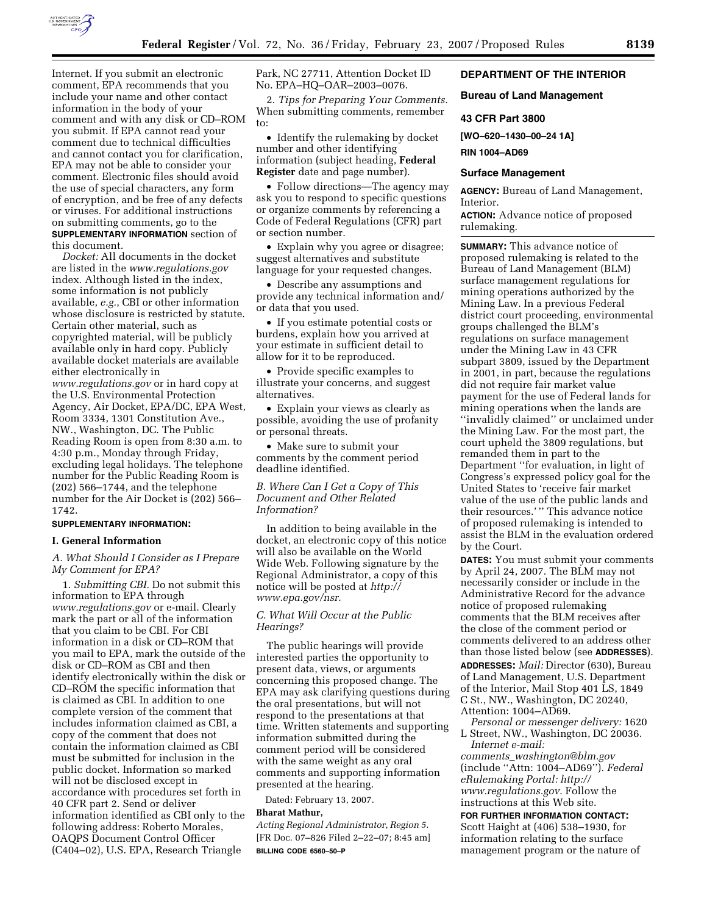

Internet. If you submit an electronic comment, EPA recommends that you include your name and other contact information in the body of your comment and with any disk or CD–ROM you submit. If EPA cannot read your comment due to technical difficulties and cannot contact you for clarification, EPA may not be able to consider your comment. Electronic files should avoid the use of special characters, any form of encryption, and be free of any defects or viruses. For additional instructions on submitting comments, go to the **SUPPLEMENTARY INFORMATION** section of this document.

*Docket:* All documents in the docket are listed in the *www.regulations.gov*  index. Although listed in the index, some information is not publicly available, *e.g.*, CBI or other information whose disclosure is restricted by statute. Certain other material, such as copyrighted material, will be publicly available only in hard copy. Publicly available docket materials are available either electronically in *www.regulations.gov* or in hard copy at the U.S. Environmental Protection Agency, Air Docket, EPA/DC, EPA West, Room 3334, 1301 Constitution Ave., NW., Washington, DC. The Public Reading Room is open from 8:30 a.m. to 4:30 p.m., Monday through Friday, excluding legal holidays. The telephone number for the Public Reading Room is

(202) 566–1744, and the telephone number for the Air Docket is (202) 566– 1742.

### **SUPPLEMENTARY INFORMATION:**

# **I. General Information**

*A. What Should I Consider as I Prepare My Comment for EPA?* 

1. *Submitting CBI.* Do not submit this information to EPA through *www.regulations.gov* or e-mail. Clearly mark the part or all of the information that you claim to be CBI. For CBI information in a disk or CD–ROM that you mail to EPA, mark the outside of the disk or CD–ROM as CBI and then identify electronically within the disk or CD–ROM the specific information that is claimed as CBI. In addition to one complete version of the comment that includes information claimed as CBI, a copy of the comment that does not contain the information claimed as CBI must be submitted for inclusion in the public docket. Information so marked will not be disclosed except in accordance with procedures set forth in 40 CFR part 2. Send or deliver information identified as CBI only to the following address: Roberto Morales, OAQPS Document Control Officer (C404–02), U.S. EPA, Research Triangle

Park, NC 27711, Attention Docket ID No. EPA–HQ–OAR–2003–0076.

2. *Tips for Preparing Your Comments.*  When submitting comments, remember to:

• Identify the rulemaking by docket number and other identifying information (subject heading, **Federal Register** date and page number).

• Follow directions—The agency may ask you to respond to specific questions or organize comments by referencing a Code of Federal Regulations (CFR) part or section number.

• Explain why you agree or disagree; suggest alternatives and substitute language for your requested changes.

• Describe any assumptions and provide any technical information and/ or data that you used.

• If you estimate potential costs or burdens, explain how you arrived at your estimate in sufficient detail to allow for it to be reproduced.

• Provide specific examples to illustrate your concerns, and suggest alternatives.

• Explain your views as clearly as possible, avoiding the use of profanity or personal threats.

• Make sure to submit your comments by the comment period deadline identified.

*B. Where Can I Get a Copy of This Document and Other Related Information?* 

In addition to being available in the docket, an electronic copy of this notice will also be available on the World Wide Web. Following signature by the Regional Administrator, a copy of this notice will be posted at *http:// www.epa.gov/nsr.* 

### *C. What Will Occur at the Public Hearings?*

The public hearings will provide interested parties the opportunity to present data, views, or arguments concerning this proposed change. The EPA may ask clarifying questions during the oral presentations, but will not respond to the presentations at that time. Written statements and supporting information submitted during the comment period will be considered with the same weight as any oral comments and supporting information presented at the hearing.

Dated: February 13, 2007.

## **Bharat Mathur,**

*Acting Regional Administrator, Region 5.*  [FR Doc. 07–826 Filed 2–22–07; 8:45 am] **BILLING CODE 6560–50–P** 

## **DEPARTMENT OF THE INTERIOR**

### **Bureau of Land Management**

#### **43 CFR Part 3800**

**[WO–620–1430–00–24 1A]** 

**RIN 1004–AD69** 

### **Surface Management**

**AGENCY:** Bureau of Land Management, Interior.

**ACTION:** Advance notice of proposed rulemaking.

**SUMMARY:** This advance notice of proposed rulemaking is related to the Bureau of Land Management (BLM) surface management regulations for mining operations authorized by the Mining Law. In a previous Federal district court proceeding, environmental groups challenged the BLM's regulations on surface management under the Mining Law in 43 CFR subpart 3809, issued by the Department in 2001, in part, because the regulations did not require fair market value payment for the use of Federal lands for mining operations when the lands are ''invalidly claimed'' or unclaimed under the Mining Law. For the most part, the court upheld the 3809 regulations, but remanded them in part to the Department ''for evaluation, in light of Congress's expressed policy goal for the United States to 'receive fair market value of the use of the public lands and their resources.' '' This advance notice of proposed rulemaking is intended to assist the BLM in the evaluation ordered by the Court.

**DATES:** You must submit your comments by April 24, 2007. The BLM may not necessarily consider or include in the Administrative Record for the advance notice of proposed rulemaking comments that the BLM receives after the close of the comment period or comments delivered to an address other than those listed below (see **ADDRESSES**). **ADDRESSES:** *Mail:* Director (630), Bureau of Land Management, U.S. Department of the Interior, Mail Stop 401 LS, 1849 C St., NW., Washington, DC 20240, Attention: 1004–AD69.

*Personal or messenger delivery:* 1620 L Street, NW., Washington, DC 20036. *Internet e-mail:* 

*comments*\_*washington@blm.gov*  (include ''Attn: 1004–AD69''). *Federal eRulemaking Portal: http:// www.regulations.gov*. Follow the instructions at this Web site.

**FOR FURTHER INFORMATION CONTACT:**  Scott Haight at (406) 538–1930, for information relating to the surface management program or the nature of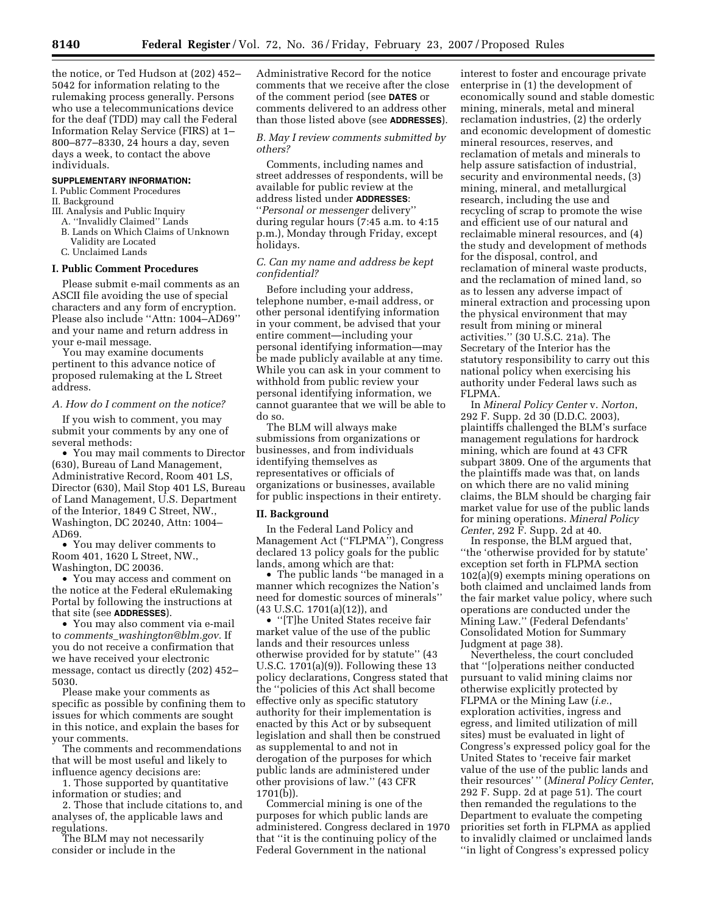the notice, or Ted Hudson at (202) 452– 5042 for information relating to the rulemaking process generally. Persons who use a telecommunications device for the deaf (TDD) may call the Federal Information Relay Service (FIRS) at 1– 800–877–8330, 24 hours a day, seven days a week, to contact the above individuals.

#### **SUPPLEMENTARY INFORMATION:**

I. Public Comment Procedures II. Background

- III. Analysis and Public Inquiry
- A. ''Invalidly Claimed'' Lands
- B. Lands on Which Claims of Unknown Validity are Located
- C. Unclaimed Lands

#### **I. Public Comment Procedures**

Please submit e-mail comments as an ASCII file avoiding the use of special characters and any form of encryption. Please also include ''Attn: 1004–AD69'' and your name and return address in your e-mail message.

You may examine documents pertinent to this advance notice of proposed rulemaking at the L Street address.

#### *A. How do I comment on the notice?*

If you wish to comment, you may submit your comments by any one of several methods:

• You may mail comments to Director (630), Bureau of Land Management, Administrative Record, Room 401 LS, Director (630), Mail Stop 401 LS, Bureau of Land Management, U.S. Department of the Interior, 1849 C Street, NW., Washington, DC 20240, Attn: 1004– AD69.

• You may deliver comments to Room 401, 1620 L Street, NW., Washington, DC 20036.

• You may access and comment on the notice at the Federal eRulemaking Portal by following the instructions at that site (see **ADDRESSES**).

• You may also comment via e-mail to *comments*\_*washington@blm.gov.* If you do not receive a confirmation that we have received your electronic message, contact us directly (202) 452– 5030.

Please make your comments as specific as possible by confining them to issues for which comments are sought in this notice, and explain the bases for your comments.

The comments and recommendations that will be most useful and likely to influence agency decisions are:

1. Those supported by quantitative information or studies; and

2. Those that include citations to, and analyses of, the applicable laws and regulations.

The BLM may not necessarily consider or include in the

Administrative Record for the notice comments that we receive after the close of the comment period (see **DATES** or comments delivered to an address other than those listed above (see **ADDRESSES**).

*B. May I review comments submitted by others?* 

Comments, including names and street addresses of respondents, will be available for public review at the address listed under **ADDRESSES**: ''*Personal or messenger* delivery'' during regular hours (7:45 a.m. to 4:15 p.m.), Monday through Friday, except holidays.

## *C. Can my name and address be kept confidential?*

Before including your address, telephone number, e-mail address, or other personal identifying information in your comment, be advised that your entire comment—including your personal identifying information—may be made publicly available at any time. While you can ask in your comment to withhold from public review your personal identifying information, we cannot guarantee that we will be able to do so.

The BLM will always make submissions from organizations or businesses, and from individuals identifying themselves as representatives or officials of organizations or businesses, available for public inspections in their entirety.

#### **II. Background**

In the Federal Land Policy and Management Act (''FLPMA''), Congress declared 13 policy goals for the public lands, among which are that:

• The public lands ''be managed in a manner which recognizes the Nation's need for domestic sources of minerals'' (43 U.S.C. 1701(a)(12)), and

• ''[T]he United States receive fair market value of the use of the public lands and their resources unless otherwise provided for by statute'' (43 U.S.C. 1701(a)(9)). Following these 13 policy declarations, Congress stated that the ''policies of this Act shall become effective only as specific statutory authority for their implementation is enacted by this Act or by subsequent legislation and shall then be construed as supplemental to and not in derogation of the purposes for which public lands are administered under other provisions of law.'' (43 CFR 1701(b)).

Commercial mining is one of the purposes for which public lands are administered. Congress declared in 1970 that ''it is the continuing policy of the Federal Government in the national

interest to foster and encourage private enterprise in (1) the development of economically sound and stable domestic mining, minerals, metal and mineral reclamation industries, (2) the orderly and economic development of domestic mineral resources, reserves, and reclamation of metals and minerals to help assure satisfaction of industrial, security and environmental needs, (3) mining, mineral, and metallurgical research, including the use and recycling of scrap to promote the wise and efficient use of our natural and reclaimable mineral resources, and (4) the study and development of methods for the disposal, control, and reclamation of mineral waste products, and the reclamation of mined land, so as to lessen any adverse impact of mineral extraction and processing upon the physical environment that may result from mining or mineral activities.'' (30 U.S.C. 21a). The Secretary of the Interior has the statutory responsibility to carry out this national policy when exercising his authority under Federal laws such as FLPMA.

In *Mineral Policy Center* v. *Norton*, 292 F. Supp. 2d 30 (D.D.C. 2003), plaintiffs challenged the BLM's surface management regulations for hardrock mining, which are found at 43 CFR subpart 3809. One of the arguments that the plaintiffs made was that, on lands on which there are no valid mining claims, the BLM should be charging fair market value for use of the public lands for mining operations. *Mineral Policy Center*, 292 F. Supp. 2d at 40.

In response, the BLM argued that, ''the 'otherwise provided for by statute' exception set forth in FLPMA section 102(a)(9) exempts mining operations on both claimed and unclaimed lands from the fair market value policy, where such operations are conducted under the Mining Law.'' (Federal Defendants' Consolidated Motion for Summary Judgment at page 38).

Nevertheless, the court concluded that ''[o]perations neither conducted pursuant to valid mining claims nor otherwise explicitly protected by FLPMA or the Mining Law (*i.e.*, exploration activities, ingress and egress, and limited utilization of mill sites) must be evaluated in light of Congress's expressed policy goal for the United States to 'receive fair market value of the use of the public lands and their resources' '' (*Mineral Policy Center*, 292 F. Supp. 2d at page 51). The court then remanded the regulations to the Department to evaluate the competing priorities set forth in FLPMA as applied to invalidly claimed or unclaimed lands ''in light of Congress's expressed policy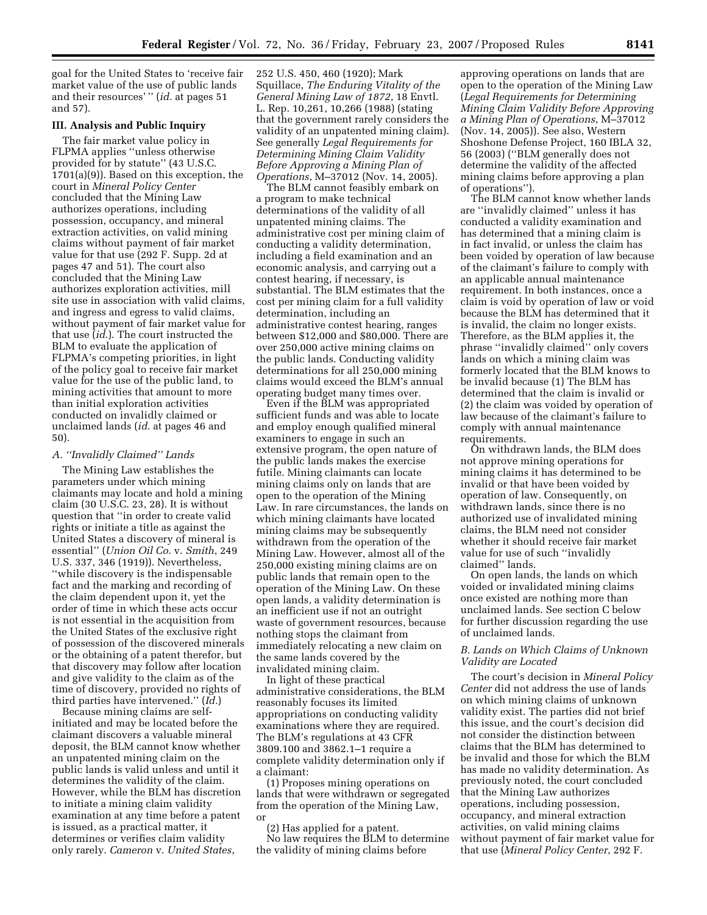goal for the United States to 'receive fair market value of the use of public lands and their resources' '' (*id.* at pages 51 and 57).

### **III. Analysis and Public Inquiry**

The fair market value policy in FLPMA applies ''unless otherwise provided for by statute'' (43 U.S.C. 1701(a)(9)). Based on this exception, the court in *Mineral Policy Center*  concluded that the Mining Law authorizes operations, including possession, occupancy, and mineral extraction activities, on valid mining claims without payment of fair market value for that use (292 F. Supp. 2d at pages 47 and 51). The court also concluded that the Mining Law authorizes exploration activities, mill site use in association with valid claims, and ingress and egress to valid claims, without payment of fair market value for that use (*id*.). The court instructed the BLM to evaluate the application of FLPMA's competing priorities, in light of the policy goal to receive fair market value for the use of the public land, to mining activities that amount to more than initial exploration activities conducted on invalidly claimed or unclaimed lands (*id*. at pages 46 and 50).

#### *A. ''Invalidly Claimed'' Lands*

The Mining Law establishes the parameters under which mining claimants may locate and hold a mining claim (30 U.S.C. 23, 28). It is without question that ''in order to create valid rights or initiate a title as against the United States a discovery of mineral is essential'' (*Union Oil Co.* v. *Smith*, 249 U.S. 337, 346 (1919)). Nevertheless, ''while discovery is the indispensable fact and the marking and recording of the claim dependent upon it, yet the order of time in which these acts occur is not essential in the acquisition from the United States of the exclusive right of possession of the discovered minerals or the obtaining of a patent therefor, but that discovery may follow after location and give validity to the claim as of the time of discovery, provided no rights of third parties have intervened.'' (*Id.*)

Because mining claims are selfinitiated and may be located before the claimant discovers a valuable mineral deposit, the BLM cannot know whether an unpatented mining claim on the public lands is valid unless and until it determines the validity of the claim. However, while the BLM has discretion to initiate a mining claim validity examination at any time before a patent is issued, as a practical matter, it determines or verifies claim validity only rarely. *Cameron* v. *United States*,

252 U.S. 450, 460 (1920); Mark Squillace, *The Enduring Vitality of the General Mining Law of 1872*, 18 Envtl. L. Rep. 10,261, 10,266 (1988) (stating that the government rarely considers the validity of an unpatented mining claim). See generally *Legal Requirements for Determining Mining Claim Validity Before Approving a Mining Plan of Operations*, M–37012 (Nov. 14, 2005).

The BLM cannot feasibly embark on a program to make technical determinations of the validity of all unpatented mining claims. The administrative cost per mining claim of conducting a validity determination, including a field examination and an economic analysis, and carrying out a contest hearing, if necessary, is substantial. The BLM estimates that the cost per mining claim for a full validity determination, including an administrative contest hearing, ranges between \$12,000 and \$80,000. There are over 250,000 active mining claims on the public lands. Conducting validity determinations for all 250,000 mining claims would exceed the BLM's annual operating budget many times over.

Even if the BLM was appropriated sufficient funds and was able to locate and employ enough qualified mineral examiners to engage in such an extensive program, the open nature of the public lands makes the exercise futile. Mining claimants can locate mining claims only on lands that are open to the operation of the Mining Law. In rare circumstances, the lands on which mining claimants have located mining claims may be subsequently withdrawn from the operation of the Mining Law. However, almost all of the 250,000 existing mining claims are on public lands that remain open to the operation of the Mining Law. On these open lands, a validity determination is an inefficient use if not an outright waste of government resources, because nothing stops the claimant from immediately relocating a new claim on the same lands covered by the invalidated mining claim.

In light of these practical administrative considerations, the BLM reasonably focuses its limited appropriations on conducting validity examinations where they are required. The BLM's regulations at 43 CFR 3809.100 and 3862.1–1 require a complete validity determination only if a claimant:

(1) Proposes mining operations on lands that were withdrawn or segregated from the operation of the Mining Law, or

(2) Has applied for a patent. No law requires the BLM to determine the validity of mining claims before

approving operations on lands that are open to the operation of the Mining Law (*Legal Requirements for Determining Mining Claim Validity Before Approving a Mining Plan of Operations*, M–37012 (Nov. 14, 2005)). See also, Western Shoshone Defense Project, 160 IBLA 32, 56 (2003) (''BLM generally does not determine the validity of the affected mining claims before approving a plan of operations'').

The BLM cannot know whether lands are ''invalidly claimed'' unless it has conducted a validity examination and has determined that a mining claim is in fact invalid, or unless the claim has been voided by operation of law because of the claimant's failure to comply with an applicable annual maintenance requirement. In both instances, once a claim is void by operation of law or void because the BLM has determined that it is invalid, the claim no longer exists. Therefore, as the BLM applies it, the phrase ''invalidly claimed'' only covers lands on which a mining claim was formerly located that the BLM knows to be invalid because (1) The BLM has determined that the claim is invalid or (2) the claim was voided by operation of law because of the claimant's failure to comply with annual maintenance requirements.

On withdrawn lands, the BLM does not approve mining operations for mining claims it has determined to be invalid or that have been voided by operation of law. Consequently, on withdrawn lands, since there is no authorized use of invalidated mining claims, the BLM need not consider whether it should receive fair market value for use of such ''invalidly claimed'' lands.

On open lands, the lands on which voided or invalidated mining claims once existed are nothing more than unclaimed lands. See section C below for further discussion regarding the use of unclaimed lands.

## *B. Lands on Which Claims of Unknown Validity are Located*

The court's decision in *Mineral Policy Center* did not address the use of lands on which mining claims of unknown validity exist. The parties did not brief this issue, and the court's decision did not consider the distinction between claims that the BLM has determined to be invalid and those for which the BLM has made no validity determination. As previously noted, the court concluded that the Mining Law authorizes operations, including possession, occupancy, and mineral extraction activities, on valid mining claims without payment of fair market value for that use (*Mineral Policy Center*, 292 F.